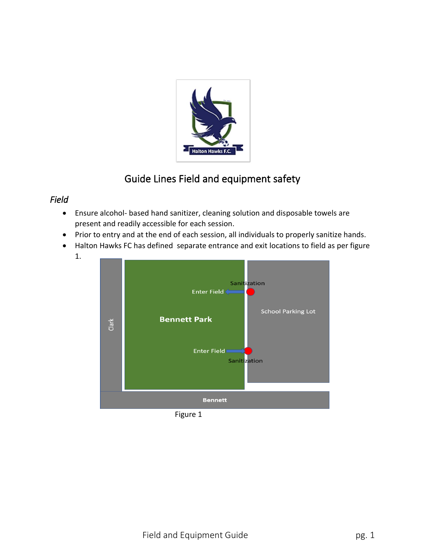

## Guide Lines Field and equipment safety

## *Field*

1.

- Ensure alcohol- based hand sanitizer, cleaning solution and disposable towels are present and readily accessible for each session.
- Prior to entry and at the end of each session, all individuals to properly sanitize hands.
- Halton Hawks FC has defined separate entrance and exit locations to field as per figure

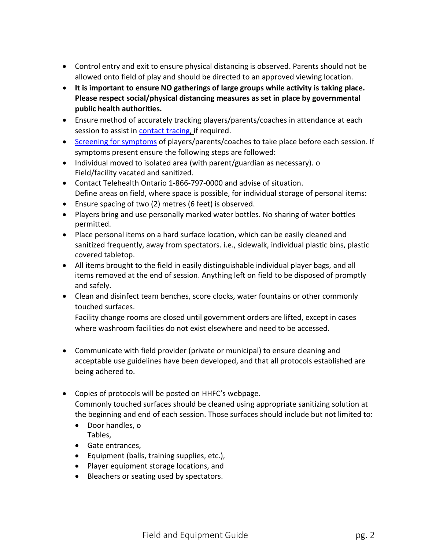- Control entry and exit to ensure physical distancing is observed. Parents should not be allowed onto field of play and should be directed to an approved viewing location.
- **It is important to ensure NO gatherings of large groups while activity is taking place. Please respect social/physical distancing measures as set in place by governmental public health authorities.**
- Ensure method of accurately tracking players/parents/coaches in attendance at each session to assist in contact tracing, if required.
- Screening for symptoms of players/parents/coaches to take place before each session. If symptoms present ensure the following steps are followed:
- Individual moved to isolated area (with parent/guardian as necessary). o Field/facility vacated and sanitized.
- Contact Telehealth Ontario 1-866-797-0000 and advise of situation. Define areas on field, where space is possible, for individual storage of personal items:
- Ensure spacing of two (2) metres (6 feet) is observed.
- Players bring and use personally marked water bottles. No sharing of water bottles permitted.
- Place personal items on a hard surface location, which can be easily cleaned and sanitized frequently, away from spectators. i.e., sidewalk, individual plastic bins, plastic covered tabletop.
- All items brought to the field in easily distinguishable individual player bags, and all items removed at the end of session. Anything left on field to be disposed of promptly and safely.
- Clean and disinfect team benches, score clocks, water fountains or other commonly touched surfaces.

Facility change rooms are closed until government orders are lifted, except in cases where washroom facilities do not exist elsewhere and need to be accessed.

- Communicate with field provider (private or municipal) to ensure cleaning and acceptable use guidelines have been developed, and that all protocols established are being adhered to.
- Copies of protocols will be posted on HHFC's webpage. Commonly touched surfaces should be cleaned using appropriate sanitizing solution at the beginning and end of each session. Those surfaces should include but not limited to:
	- Door handles, o Tables,
	- Gate entrances,
	- Equipment (balls, training supplies, etc.),
	- Player equipment storage locations, and
	- Bleachers or seating used by spectators.